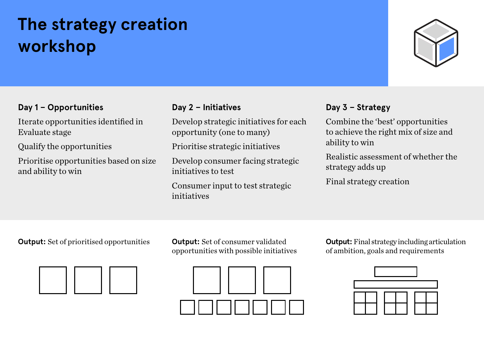## **The strategy creation workshop**



### **Day 1 – Opportunities**

Iterate opportunities identified in Evaluate stage

Qualify the opportunities

Prioritise opportunities based on size and ability to win

### **Day 2 – Initiatives**

Develop strategic initiatives for each opportunity (one to many)

Prioritise strategic initiatives

Develop consumer facing strategic initiatives to test

Consumer input to test strategic initiatives

### **Day 3 – Strategy**

Combine the 'best' opportunities to achieve the right mix of size and ability to win

Realistic assessment of whether the strategy adds up

Final strategy creation

**Output:** Set of prioritised opportunities **Output:** Set of consumer validated



opportunities with possible initiatives



**Output:** Final strategy including articulation of ambition, goals and requirements